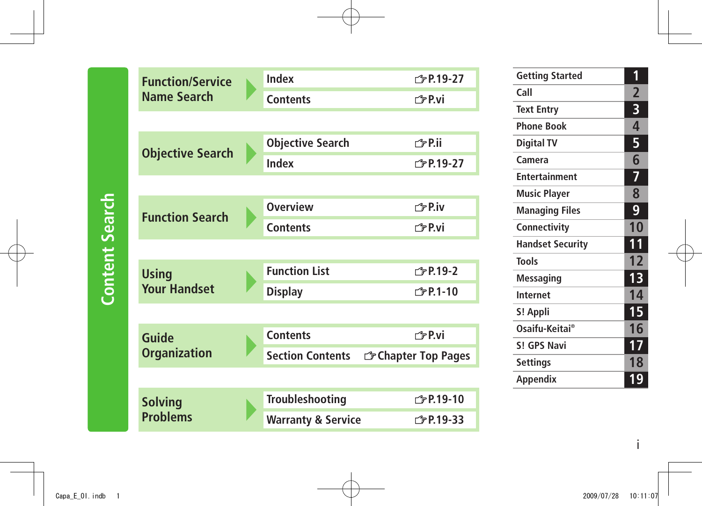| <b>Function/Service</b> |  | Index                         | <b>← P.19-27</b>    |
|-------------------------|--|-------------------------------|---------------------|
| <b>Name Search</b>      |  | <b>Contents</b>               | 子P.vi               |
|                         |  |                               |                     |
|                         |  | <b>Objective Search</b>       | <i>←</i> P.ii       |
| <b>Objective Search</b> |  | Index                         | <b>← P.19-27</b>    |
|                         |  |                               |                     |
| <b>Function Search</b>  |  | <b>Overview</b>               | 子P.iv               |
|                         |  | <b>Contents</b>               | r <sup>今</sup> P.vi |
|                         |  |                               |                     |
| <b>Using</b>            |  | <b>Function List</b>          | <b>← P.19-2</b>     |
| <b>Your Handset</b>     |  | <b>Display</b>                | <b>◯P.1-10</b>      |
|                         |  |                               |                     |
| <b>Guide</b>            |  | <b>Contents</b>               | r <sup>今</sup> P.vi |
| <b>Organization</b>     |  | <b>Section Contents</b>       | G Chapter Top Pages |
|                         |  |                               |                     |
| <b>Solving</b>          |  | <b>Troubleshooting</b>        | <b>◯ P.19-10</b>    |
| <b>Problems</b>         |  | <b>Warranty &amp; Service</b> | <b>← P.19-33</b>    |

| 1              |
|----------------|
| $\overline{2}$ |
| 3              |
| 4              |
| 5              |
| 6              |
| 7              |
| 8              |
| 9              |
| 10             |
| 11             |
| 12             |
| 13             |
| 14             |
| 15             |
| 16             |
| 17             |
| 18             |
| 19             |
|                |

i

**Content Search Content Search**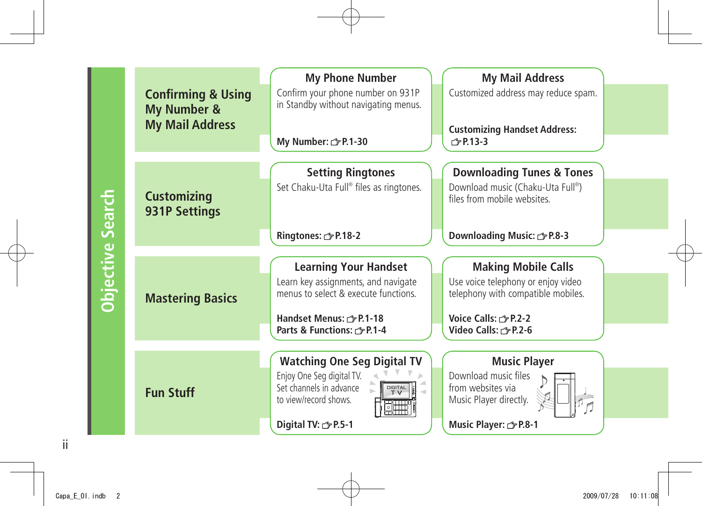|                         |                               | <b>My Phone Number</b>                  | <b>My Mail Address</b>                      |
|-------------------------|-------------------------------|-----------------------------------------|---------------------------------------------|
|                         | <b>Confirming &amp; Using</b> | Confirm your phone number on 931P       | Customized address may reduce spam.         |
|                         | My Number &                   | in Standby without navigating menus.    |                                             |
|                         |                               |                                         |                                             |
|                         | <b>My Mail Address</b>        |                                         | <b>Customizing Handset Address:</b>         |
|                         |                               | My Number: $\mathcal{F}$ P.1-30         | $\sqrt{7}$ P.13-3                           |
|                         |                               |                                         |                                             |
|                         |                               | <b>Setting Ringtones</b>                | <b>Downloading Tunes &amp; Tones</b>        |
|                         |                               | Set Chaku-Uta Full® files as ringtones. | Download music (Chaku-Uta Full®)            |
|                         | <b>Customizing</b>            |                                         | files from mobile websites.                 |
|                         | <b>931P Settings</b>          |                                         |                                             |
|                         |                               |                                         |                                             |
|                         |                               | Ringtones: <a> F.18-2</a>               | Downloading Music:<br><sub>The P.8</sub> -3 |
|                         |                               |                                         |                                             |
| <b>Objective Search</b> |                               | <b>Learning Your Handset</b>            | <b>Making Mobile Calls</b>                  |
|                         |                               | Learn key assignments, and navigate     | Use voice telephony or enjoy video          |
|                         | <b>Mastering Basics</b>       | menus to select & execute functions.    | telephony with compatible mobiles.          |
|                         |                               |                                         |                                             |
|                         |                               | Handset Menus: r P.1-18                 | Voice Calls: r P.2-2                        |
|                         |                               | Parts & Functions: 3 P.1-4              | Video Calls: <a> 5 P.2-6</a>                |
|                         |                               |                                         |                                             |
|                         |                               | <b>Watching One Seg Digital TV</b>      | <b>Music Player</b>                         |
|                         |                               | Enjoy One Seg digital TV.               | Download music files                        |
|                         | <b>Fun Stuff</b>              | Set channels in advance<br>DIGITAL      | from websites via                           |
|                         |                               | to view/record shows.                   | Music Player directly.                      |
|                         |                               |                                         |                                             |
|                         |                               | Digital TV: free P.5-1                  | Music Player: <a>&gt; P.8-1</a>             |

ii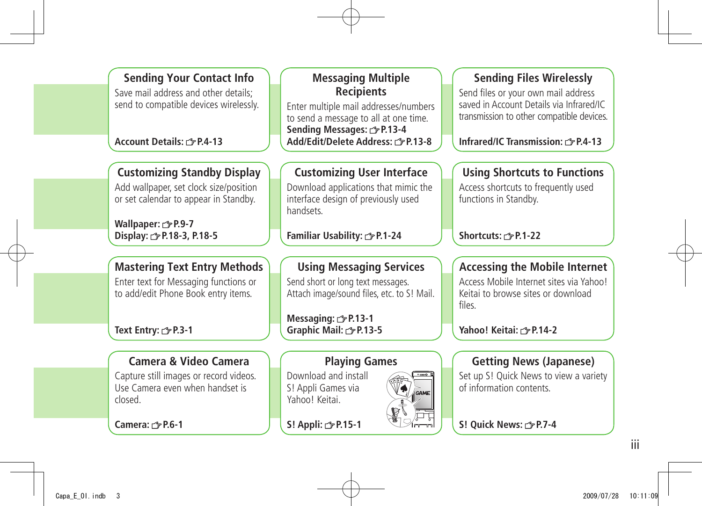**Sending Your Contact Info** Save mail address and other details; send to compatible devices wirelessly.

#### **Account Details: P.4-13**

#### **Customizing Standby Display**

Add wallpaper, set clock size/position or set calendar to appear in Standby.

**Wallpaper: P.9-7 Display: P.18-3, P.18-5**

#### **Mastering Text Entry Methods**

Enter text for Messaging functions or to add/edit Phone Book entry items.

**Text Entry: P.3-1**

#### **Camera & Video Camera**

Capture still images or record videos. Use Camera even when handset is closed.

**Camera: P.6-1**

#### **Messaging Multiple Recipients**

Enter multiple mail addresses/numbers to send a message to all at one time. **Sending Messages: P.13-4 Add/Edit/Delete Address: P.13-8**

#### **Customizing User Interface**

Download applications that mimic the interface design of previously used handsets.

**Familiar Usability: P.1-24**

#### **Using Messaging Services**

Send short or long text messages. Attach image/sound files, etc. to S! Mail.

**Messaging: P.13-1 Graphic Mail: P.13-5**

#### **Playing Games**

Download and install S! Appli Games via Yahoo! Keitai.

**S! Appli: P.15-1**

#### **Sending Files Wirelessly**

Send files or your own mail address saved in Account Details via Infrared/IC transmission to other compatible devices.

**Infrared/IC Transmission: 3 P.4-13** 

#### **Using Shortcuts to Functions**

Access shortcuts to frequently used functions in Standby.

**Shortcuts: P.1-22**

#### **Accessing the Mobile Internet**

Access Mobile Internet sites via Yahoo! Keitai to browse sites or download files.

**Yahoo! Keitai: P.14-2**

#### **Getting News (Japanese)**

Set up S! Quick News to view a variety of information contents.

**S! Quick News:**  $\rightarrow$  **P.7-4** 

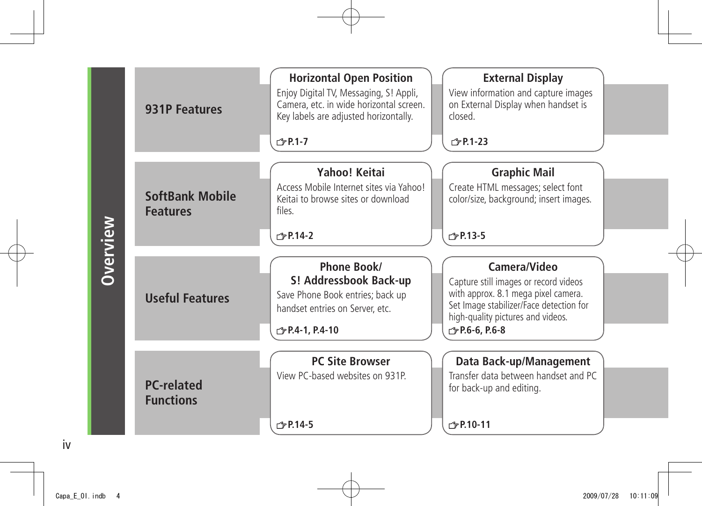|                 | <b>931P Features</b>                      | <b>Horizontal Open Position</b><br>Enjoy Digital TV, Messaging, S! Appli,<br>Camera, etc. in wide horizontal screen.<br>Key labels are adjusted horizontally.<br>$\sqrt{7}$ P.1-7 | <b>External Display</b><br>View information and capture images<br>on External Display when handset is<br>closed.<br>$\sqrt{=}$ P.1-23                                                                |
|-----------------|-------------------------------------------|-----------------------------------------------------------------------------------------------------------------------------------------------------------------------------------|------------------------------------------------------------------------------------------------------------------------------------------------------------------------------------------------------|
| <b>Overview</b> | <b>SoftBank Mobile</b><br><b>Features</b> | Yahoo! Keitai<br>Access Mobile Internet sites via Yahoo!<br>Keitai to browse sites or download<br>files.<br>$\sqrt{2}$ P.14-2                                                     | <b>Graphic Mail</b><br>Create HTML messages; select font<br>color/size, background; insert images.<br>r <sup>→</sup> P.13-5                                                                          |
|                 | <b>Useful Features</b>                    | Phone Book/<br>S! Addressbook Back-up<br>Save Phone Book entries; back up<br>handset entries on Server, etc.<br><b>♪ P.4-1, P.4-10</b>                                            | Camera/Video<br>Capture still images or record videos<br>with approx. 8.1 mega pixel camera.<br>Set Image stabilizer/Face detection for<br>high-quality pictures and videos.<br><b>♪P.6-6, P.6-8</b> |
|                 | <b>PC-related</b><br><b>Functions</b>     | <b>PC Site Browser</b><br>View PC-based websites on 931P.<br>$\sqrt{7}$ P.14-5                                                                                                    | Data Back-up/Management<br>Transfer data between handset and PC<br>for back-up and editing.<br>$\sqrt{P}P.10-11$                                                                                     |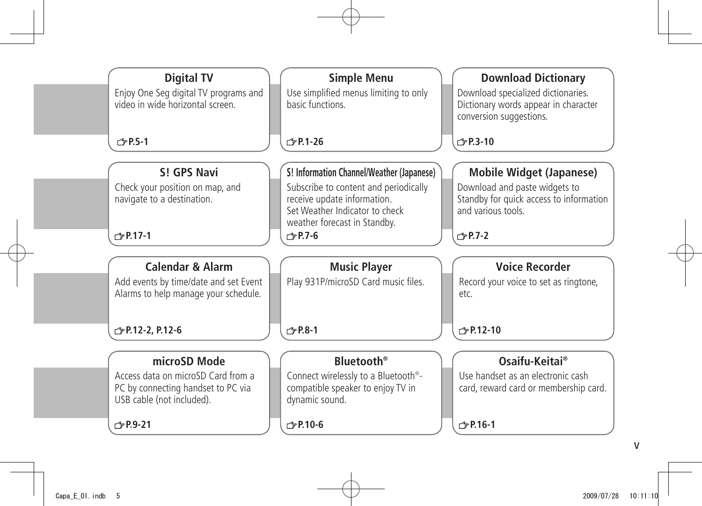| <b>Digital TV</b>                     | <b>Simple Menu</b>                               | <b>Download Dictionary</b>              |
|---------------------------------------|--------------------------------------------------|-----------------------------------------|
| Enjoy One Seg digital TV programs and | Use simplified menus limiting to only            | Download specialized dictionaries.      |
| video in wide horizontal screen.      | basic functions.                                 | Dictionary words appear in character    |
|                                       |                                                  | conversion suggestions.                 |
|                                       |                                                  |                                         |
| <b>仁?P.5-1</b>                        | $\sqrt{2}$ P.1-26                                | r <sup>→</sup> P.3-10                   |
|                                       |                                                  |                                         |
| S! GPS Navi                           | S! Information Channel/Weather (Japanese)        | <b>Mobile Widget (Japanese)</b>         |
| Check your position on map, and       | Subscribe to content and periodically            | Download and paste widgets to           |
| navigate to a destination.            | receive update information.                      | Standby for quick access to information |
|                                       | Set Weather Indicator to check                   | and various tools.                      |
|                                       | weather forecast in Standby.                     |                                         |
| r <sup>→</sup> P.17-1                 | $\sqrt{7}$ P.7-6                                 | $\sqrt{7}$ P.7-2                        |
|                                       |                                                  |                                         |
| <b>Calendar &amp; Alarm</b>           | <b>Music Player</b>                              | <b>Voice Recorder</b>                   |
| Add events by time/date and set Event | Play 931P/microSD Card music files.              | Record your voice to set as ringtone,   |
| Alarms to help manage your schedule.  |                                                  | etc.                                    |
|                                       |                                                  |                                         |
|                                       |                                                  |                                         |
| <b>♪ P.12-2, P.12-6</b>               | r <sup>→</sup> P.8-1                             | r <sup>→</sup> P.12-10                  |
|                                       |                                                  |                                         |
| microSD Mode                          | <b>Rluetooth</b> <sup>®</sup>                    | Osaifu-Keitai®                          |
| Access data on microSD Card from a    | Connect wirelessly to a Bluetooth <sup>®</sup> - | Use handset as an electronic cash       |
| PC by connecting handset to PC via    | compatible speaker to enjoy TV in                | card, reward card or membership card.   |
| USB cable (not included).             | dynamic sound.                                   |                                         |
|                                       |                                                  |                                         |
| r <sup>→</sup> P.9-21                 | r <sup>→</sup> <sub>P.10-6</sub>                 | $\sqrt{2}$ P.16-1                       |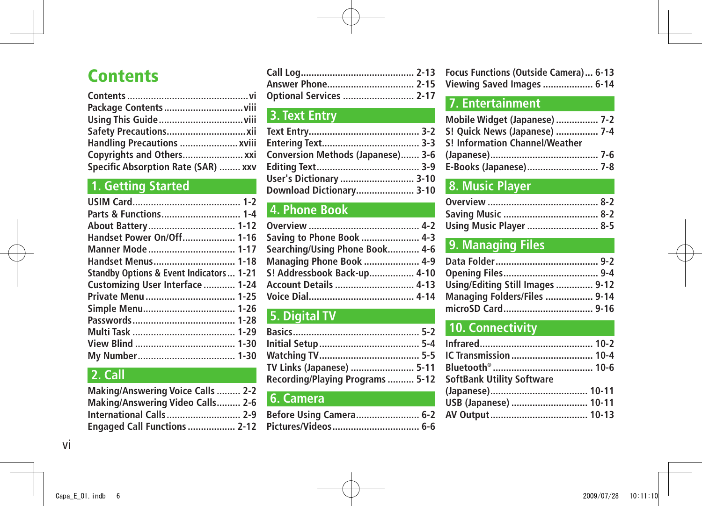## **Contents**

| Handling Precautions  xviii         |  |
|-------------------------------------|--|
| Copyrights and Others xxi           |  |
| Specific Absorption Rate (SAR)  xxv |  |

### **1. Getting Started**

| About Battery 1-12                                 |  |
|----------------------------------------------------|--|
| Handset Power On/Off 1-16                          |  |
|                                                    |  |
| Handset Menus 1-18                                 |  |
| <b>Standby Options &amp; Event Indicators 1-21</b> |  |
| Customizing User Interface  1-24                   |  |
| Private Menu  1-25                                 |  |
|                                                    |  |
|                                                    |  |
|                                                    |  |
|                                                    |  |
|                                                    |  |
|                                                    |  |

### **2. Call**

| <b>Making/Answering Voice Calls  2-2</b> |  |
|------------------------------------------|--|
| Making/Answering Video Calls 2-6         |  |
| <b>International Calls 2-9</b>           |  |
| Engaged Call Functions  2-12             |  |

| Answer Phone 2-15       |  |
|-------------------------|--|
| Optional Services  2-17 |  |

### **3. Text Entry**

| Conversion Methods (Japanese) 3-6 |  |
|-----------------------------------|--|
|                                   |  |
| User's Dictionary  3-10           |  |
| Download Dictionary 3-10          |  |

### **4. Phone Book**

| Saving to Phone Book  4-3       |  |
|---------------------------------|--|
| Searching/Using Phone Book 4-6  |  |
| <b>Managing Phone Book  4-9</b> |  |
| S! Addressbook Back-up 4-10     |  |
|                                 |  |
|                                 |  |
|                                 |  |

### **5. Digital TV**

| TV Links (Japanese)  5-11        |  |
|----------------------------------|--|
| Recording/Playing Programs  5-12 |  |

#### **6. Camera**

| Before Using Camera 6-2 |  |
|-------------------------|--|
| Pictures/Videos  6-6    |  |

| Focus Functions (Outside Camera) 6-13 |  |
|---------------------------------------|--|
| Viewing Saved Images  6-14            |  |

### **7. Entertainment**

| Mobile Widget (Japanese)  7-2  |  |
|--------------------------------|--|
| S! Quick News (Japanese)  7-4  |  |
| S! Information Channel/Weather |  |
|                                |  |
| E-Books (Japanese) 7-8         |  |

### **8. Music Player**

| <b>Using Music Player  8-5</b> |  |
|--------------------------------|--|

### **9. Managing Files**

| Using/Editing Still Images  9-12 |  |
|----------------------------------|--|
| Managing Folders/Files  9-14     |  |
|                                  |  |

### **10. Connectivity**

| IC Transmission  10-4 |
|-----------------------|
|                       |
|                       |
|                       |
| USB (Japanese)  10-11 |
|                       |
|                       |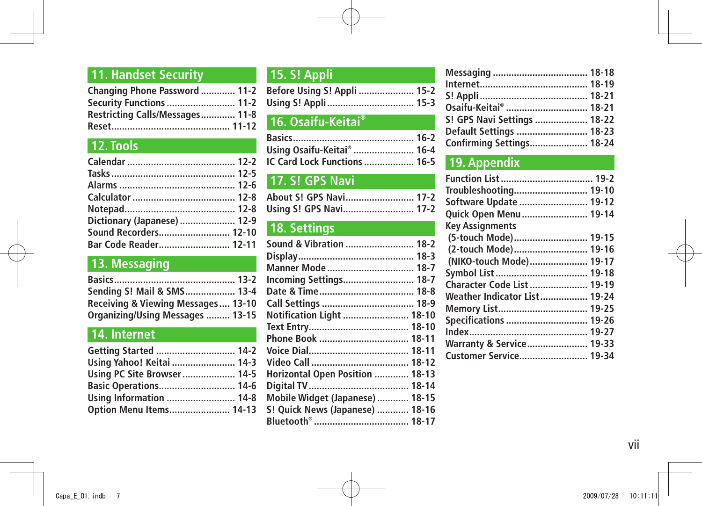### **11. Handset Security**

| Changing Phone Password  11-2   |  |
|---------------------------------|--|
| <b>Security Functions  11-2</b> |  |
| Restricting Calls/Messages 11-8 |  |
|                                 |  |

### **12. Tools**

| Dictionary (Japanese)  12-9 |
|-----------------------------|
| Sound Recorders 12-10       |
|                             |
|                             |

### **13. Messaging**

| Sending S! Mail & SMS 13-4         |  |
|------------------------------------|--|
| Receiving & Viewing Messages 13-10 |  |
| Organizing/Using Messages  13-15   |  |

### **14. Internet**

| Getting Started  14-2        |  |
|------------------------------|--|
| Using Yahoo! Keitai  14-3    |  |
| Using PC Site Browser 14-5   |  |
| <b>Basic Operations 14-6</b> |  |
| Using Information  14-8      |  |
| Option Menu Items 14-13      |  |

### **15. S! Appli**

| Before Using S! Appli  15-2 |  |
|-----------------------------|--|
|                             |  |

### **16. Osaifu-Keitai®**

| Using Osaifu-Keitai®  16-4   |  |
|------------------------------|--|
| IC Card Lock Functions  16-5 |  |

### **17. S! GPS Navi**

| About S! GPS Navi 17-2 |  |
|------------------------|--|
| Using S! GPS Navi 17-2 |  |

### **18. Settings**

| Sound & Vibration  18-2         |  |
|---------------------------------|--|
|                                 |  |
| Manner Mode  18-7               |  |
|                                 |  |
|                                 |  |
|                                 |  |
| Notification Light  18-10       |  |
|                                 |  |
|                                 |  |
|                                 |  |
|                                 |  |
| Horizontal Open Position  18-13 |  |
|                                 |  |
| Mobile Widget (Japanese)  18-15 |  |
| S! Quick News (Japanese)  18-16 |  |
|                                 |  |
|                                 |  |

| Osaifu-Keitai®  18-21       |  |
|-----------------------------|--|
| S! GPS Navi Settings  18-22 |  |
| Default Settings  18-23     |  |
| Confirming Settings 18-24   |  |

### **19. Appendix**

| Troubleshooting 19-10               |
|-------------------------------------|
| Software Update  19-12              |
| Quick Open Menu 19-14               |
|                                     |
| (5-touch Mode) 19-15                |
| (2-touch Mode) 19-16                |
| (NIKO-touch Mode) 19-17             |
| Symbol List  19-18                  |
| Character Code List  19-19          |
| <b>Weather Indicator List 19-24</b> |
| Memory List 19-25                   |
| Specifications  19-26               |
|                                     |
| Warranty & Service 19-33            |
| Customer Service 19-34              |
|                                     |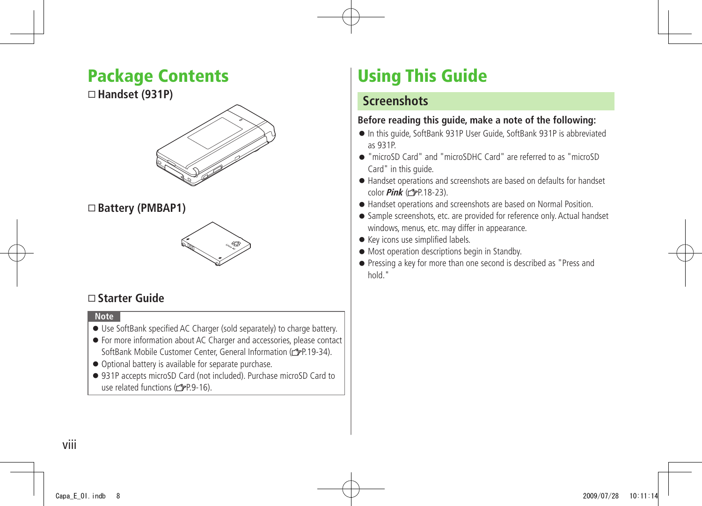## <span id="page-7-0"></span>**Package Contents**

#### **Handset (931P)**



#### **Battery (PMBAP1)**



#### **Starter Guide**

#### **Note**

- Use SoftBank specified AC Charger (sold separately) to charge battery.
- For more information about AC Charger and accessories, please contact SoftBank Mobile Customer Center, General Information ( $\rightarrow$ P.19-34).
- Optional battery is available for separate purchase.
- 931P accepts microSD Card (not included). Purchase microSD Card to use related functions ( $\mathcal{C}$ P.9-16).

## **Using This Guide**

#### **Screenshots**

#### **Before reading this guide, make a note of the following:**

- In this guide, SoftBank 931P User Guide, SoftBank 931P is abbreviated as 931P.
- "microSD Card" and "microSDHC Card" are referred to as "microSD Card" in this guide.
- Handset operations and screenshots are based on defaults for handset color **Pink** ( $\sqrt{P}P.18-23$ ).
- Handset operations and screenshots are based on Normal Position.
- Sample screenshots, etc. are provided for reference only. Actual handset windows, menus, etc. may differ in appearance.
- Key icons use simplified labels.
- Most operation descriptions begin in Standby.
- Pressing a key for more than one second is described as "Press and hold."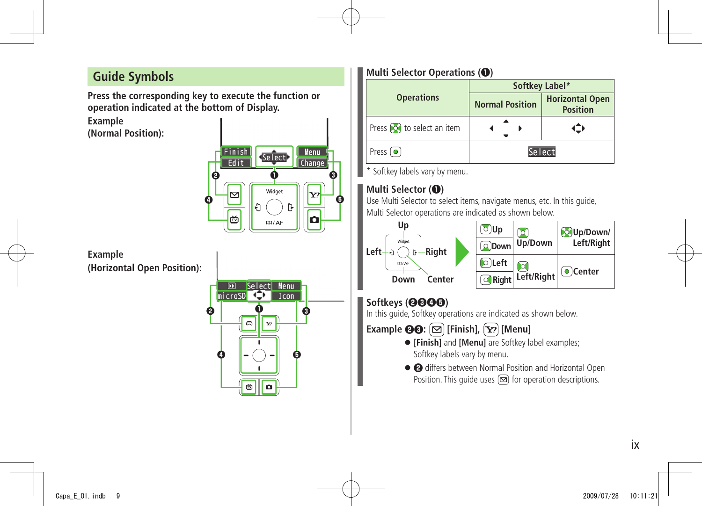### **Guide Symbols**

**Press the corresponding key to execute the function or operation indicated at the bottom of Display.**

**Example (Normal Position):**



**Example (Horizontal Open Position):**



#### **Multi Selector Operations (❶)**

|                                  | Softkey Label*         |                                           |  |
|----------------------------------|------------------------|-------------------------------------------|--|
| <b>Operations</b>                | <b>Normal Position</b> | <b>Horizontal Open</b><br><b>Position</b> |  |
| Press <b>o</b> to select an item |                        |                                           |  |
| Press $\left( \bullet \right)$   | Select                 |                                           |  |

\* Softkey labels vary by menu.

#### **Multi Selector (❶)**

Use Multi Selector to select items, navigate menus, etc. In this guide, Multi Selector operations are indicated as shown below.



#### **Softkeys (❷❸❹❺)**

In this guide, Softkey operations are indicated as shown below.

**Example**  $\Theta$  $\Theta$ :  $[\infty]$  [Finish],  $[\infty]$  [Menu]

- **[Finish]** and **[Menu]** are Softkey label examples; Softkey labels vary by menu.
- **❷** differs between Normal Position and Horizontal Open Position. This quide uses  $\boxed{\infty}$  for operation descriptions.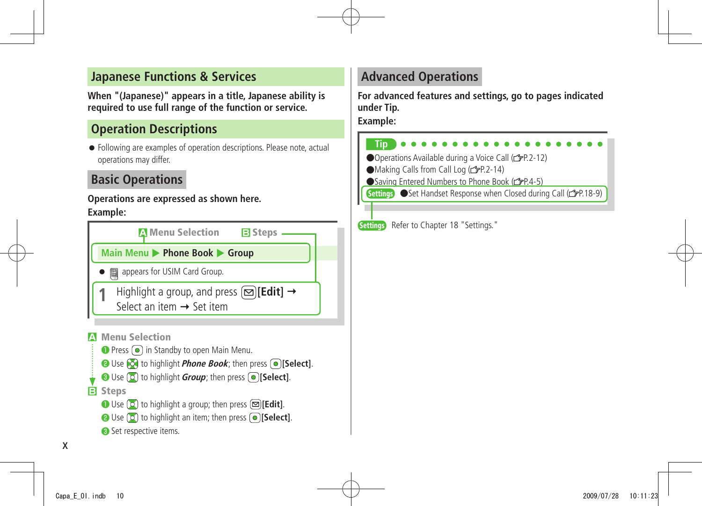#### **Japanese Functions & Services**

**When "(Japanese)" appears in a title, Japanese ability is required to use full range of the function or service.**

### **Operation Descriptions**

● Following are examples of operation descriptions. Please note, actual operations may differ.

### **Basic Operations**

#### **Operations are expressed as shown here.**

#### **Example:**

| <b>A</b> Menu Selection                                                                                                                                                                                                                        | <b>B</b> Steps |  |
|------------------------------------------------------------------------------------------------------------------------------------------------------------------------------------------------------------------------------------------------|----------------|--|
| Main Menu > Phone Book > Group                                                                                                                                                                                                                 |                |  |
| appears for USIM Card Group.<br>▦                                                                                                                                                                                                              |                |  |
| Highlight a group, and press $\text{[}\,\boxtimes\text{]}$ [Edit] $\rightarrow$<br>Select an item $\rightarrow$ Set item                                                                                                                       |                |  |
| <b>Menu Selection</b><br>Press (.) in Standby to open Main Menu.<br><b>②</b> Use <b>[○</b> ] to highlight <i>Phone Book</i> ; then press <b>.</b> [○] [Select].<br><b>O</b> Use (2) to highlight <i>Group</i> ; then press <b>● [Select</b> ]. |                |  |

#### **B Steps**

- **Use**  $\boxed{0}$  **to highlight a group; then press <b><b>Edit**].
- **O** Use  $\boxed{0}$  to highlight an item; then press  $\boxed{0}$  [Select].
- ❸ Set respective items.

### **Advanced Operations**

**For advanced features and settings, go to pages indicated under Tip.**

#### **Example:**

#### **Tip**

●Operations Available during a Voice Call ( P.2-12)

- $\blacksquare$ Making Calls from Call Log ( $\lacksquare$ P.2-14)
- ●Saving Entered Numbers to Phone Book (子P.4-5)
- Settings Set Handset Response when Closed during Call ( FP 18-9)

Settings Refer to Chapter 18 "Settings."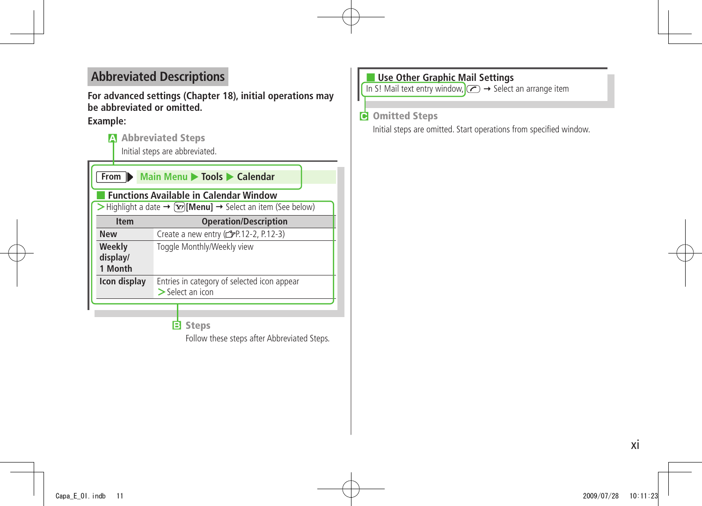### **Abbreviated Descriptions**

**For advanced settings (Chapter 18), initial operations may be abbreviated or omitted.**

#### **Example:**

**A Abbreviated Steps**

Initial steps are abbreviated.

| Main Menu > Tools > Calendar<br>From $\blacktriangleright$                              |                                                                   |  |  |
|-----------------------------------------------------------------------------------------|-------------------------------------------------------------------|--|--|
| <b>Functions Available in Calendar Window</b>                                           |                                                                   |  |  |
| > Highlight a date $\rightarrow \infty$ [Menu] $\rightarrow$ Select an item (See below) |                                                                   |  |  |
| <b>Item</b>                                                                             | <b>Operation/Description</b>                                      |  |  |
| <b>New</b>                                                                              | Create a new entry (r FP.12-2, P.12-3)                            |  |  |
| Weekly<br>display/<br>1 Month                                                           | Toggle Monthly/Weekly view                                        |  |  |
| Icon display                                                                            | Entries in category of selected icon appear<br>$>$ Select an icon |  |  |
|                                                                                         |                                                                   |  |  |

**B Steps**

Follow these steps after Abbreviated Steps.

#### ■ **Use Other Graphic Mail Settings**

In S! Mail text entry window,  $\left(\sqrt{n}\right) \rightarrow$  Select an arrange item

**C Omitted Steps**

Initial steps are omitted. Start operations from specified window.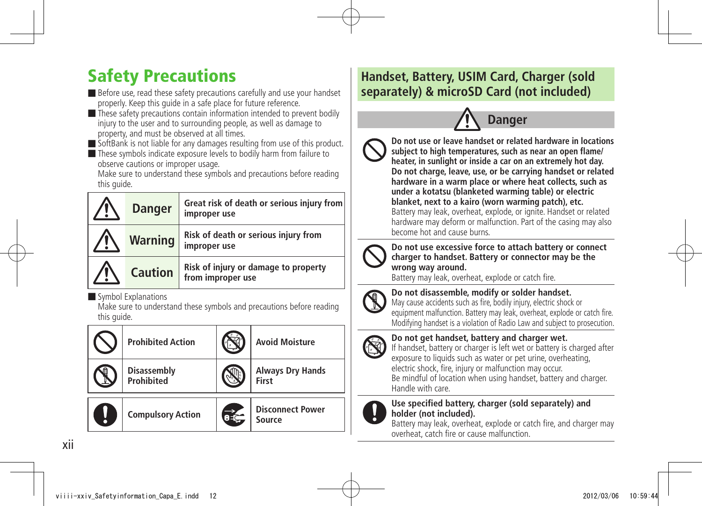## <span id="page-11-0"></span>Safety Precautions

■ Before use, read these safety precautions carefully and use your handset properly. Keep this guide in a safe place for future reference.

■ These safety precautions contain information intended to prevent bodily injury to the user and to surrounding people, as well as damage to property, and must be observed at all times.

■ SoftBank is not liable for any damages resulting from use of this product.

■ These symbols indicate exposure levels to bodily harm from failure to observe cautions or improper usage.

Make sure to understand these symbols and precautions before reading this quide.

| <b>Danger</b>  | Great risk of death or serious injury from<br>improper use |
|----------------|------------------------------------------------------------|
| <b>Warning</b> | Risk of death or serious injury from<br>improper use       |
| <b>Caution</b> | Risk of injury or damage to property<br>from improper use  |

■ Symbol Explanations

Make sure to understand these symbols and precautions before reading this quide.

|   | <b>Prohibited Action</b>                | <b>Avoid Moisture</b>             |
|---|-----------------------------------------|-----------------------------------|
|   | <b>Disassembly</b><br><b>Prohibited</b> | <b>Always Dry Hands</b><br>First  |
| Į | <b>Compulsory Action</b>                | <b>Disconnect Power</b><br>Source |

### **Handset, Battery, USIM Card, Charger (sold separately) & microSD Card (not included)**



**Do not use or leave handset or related hardware in locations subject to high temperatures, such as near an open flame/ heater, in sunlight or inside a car on an extremely hot day. Do not charge, leave, use, or be carrying handset or related hardware in a warm place or where heat collects, such as under a kotatsu (blanketed warming table) or electric blanket, next to a kairo (worn warming patch), etc.** Battery may leak, overheat, explode, or ignite. Handset or related hardware may deform or malfunction. Part of the casing may also become hot and cause burns.



**Do not use excessive force to attach battery or connect charger to handset. Battery or connector may be the wrong way around.**

Battery may leak, overheat, explode or catch fire.



**Do not disassemble, modify or solder handset.**

May cause accidents such as fire, bodily injury, electric shock or equipment malfunction. Battery may leak, overheat, explode or catch fire. Modifying handset is a violation of Radio Law and subject to prosecution.

**Do not get handset, battery and charger wet.**



If handset, battery or charger is left wet or battery is charged after exposure to liquids such as water or pet urine, overheating, electric shock, fire, injury or malfunction may occur.

Be mindful of location when using handset, battery and charger. Handle with care.



#### **Use specified battery, charger (sold separately) and holder (not included).**

Battery may leak, overheat, explode or catch fire, and charger may overheat, catch fire or cause malfunction.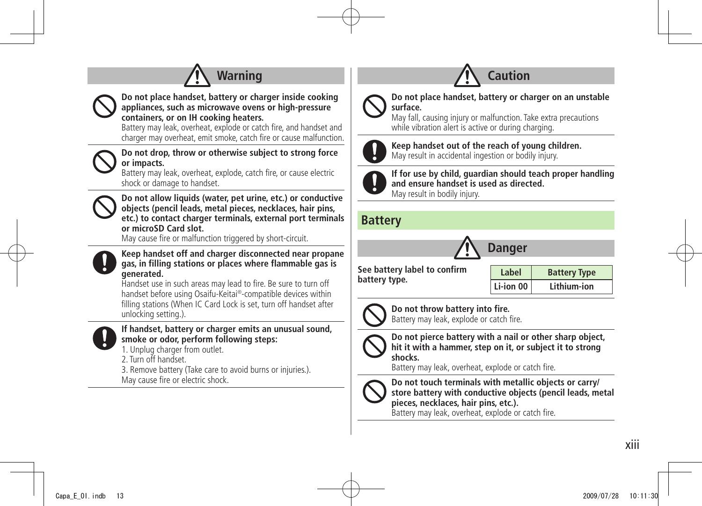



**Do not place handset, battery or charger inside cooking appliances, such as microwave ovens or high-pressure containers, or on IH cooking heaters.**

Battery may leak, overheat, explode or catch fire, and handset and charger may overheat, emit smoke, catch fire or cause malfunction.

**Do not drop, throw or otherwise subject to strong force or impacts.**

Battery may leak, overheat, explode, catch fire, or cause electric shock or damage to handset.



**Do not allow liquids (water, pet urine, etc.) or conductive objects (pencil leads, metal pieces, necklaces, hair pins, etc.) to contact charger terminals, external port terminals or microSD Card slot.**

May cause fire or malfunction triggered by short-circuit.



**Keep handset off and charger disconnected near propane gas, in filling stations or places where flammable gas is generated.**

Handset use in such areas may lead to fire. Be sure to turn off handset before using Osaifu-Keitai®-compatible devices within filling stations (When IC Card Lock is set, turn off handset after unlocking setting.).



#### **If handset, battery or charger emits an unusual sound, smoke or odor, perform following steps:**

1. Unplug charger from outlet.

2. Turn off handset.

3. Remove battery (Take care to avoid burns or injuries.). May cause fire or electric shock.



#### **Do not place handset, battery or charger on an unstable surface.**

**Caution**

May fall, causing injury or malfunction. Take extra precautions while vibration alert is active or during charging.



**Keep handset out of the reach of young children.** May result in accidental ingestion or bodily injury.



**If for use by child, guardian should teach proper handling and ensure handset is used as directed.**

May result in bodily injury.

#### **Battery**



**See battery label to confirm battery type.**

Label Battery Type **Li-ion 00 Lithium-ion**



**Do not throw battery into fire.** Battery may leak, explode or catch fire.



**Do not pierce battery with a nail or other sharp object, hit it with a hammer, step on it, or subject it to strong shocks.**

Battery may leak, overheat, explode or catch fire.



**Do not touch terminals with metallic objects or carry/ store battery with conductive objects (pencil leads, metal pieces, necklaces, hair pins, etc.).**

Battery may leak, overheat, explode or catch fire.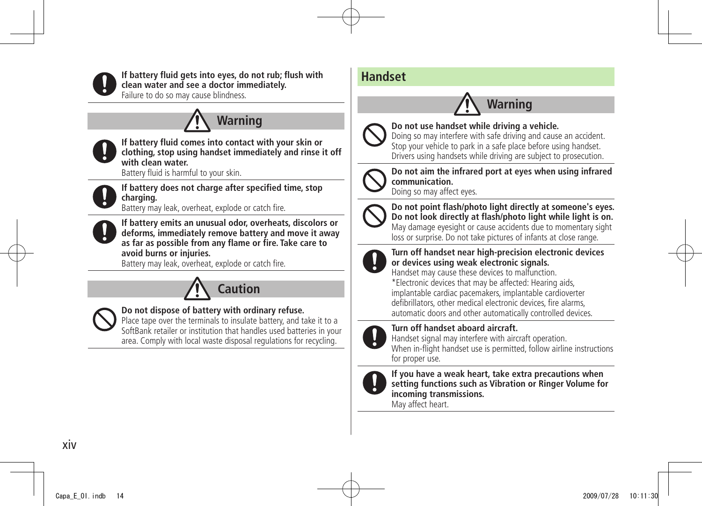

**If battery fluid gets into eyes, do not rub; flush with clean water and see a doctor immediately.**

Failure to do so may cause blindness.

## **Warning**



**If battery fluid comes into contact with your skin or clothing, stop using handset immediately and rinse it off with clean water.**

Battery fluid is harmful to your skin.



**If battery does not charge after specified time, stop charging.**

Battery may leak, overheat, explode or catch fire.



**If battery emits an unusual odor, overheats, discolors or deforms, immediately remove battery and move it away as far as possible from any flame or fire. Take care to avoid burns or injuries.**

Battery may leak, overheat, explode or catch fire.





#### **Do not dispose of battery with ordinary refuse.**

Place tape over the terminals to insulate battery, and take it to a SoftBank retailer or institution that handles used batteries in your area. Comply with local waste disposal regulations for recycling.

### **Handset**

## **Warning**



**Do not use handset while driving a vehicle.**

Doing so may interfere with safe driving and cause an accident. Stop your vehicle to park in a safe place before using handset. Drivers using handsets while driving are subject to prosecution.



**Do not aim the infrared port at eyes when using infrared communication.**

Doing so may affect eyes.



**Do not point flash/photo light directly at someone's eyes. Do not look directly at flash/photo light while light is on.** May damage eyesight or cause accidents due to momentary sight loss or surprise. Do not take pictures of infants at close range.



#### **Turn off handset near high-precision electronic devices or devices using weak electronic signals.**

Handset may cause these devices to malfunction.

\*Electronic devices that may be affected: Hearing aids, implantable cardiac pacemakers, implantable cardioverter defibrillators, other medical electronic devices, fire alarms, automatic doors and other automatically controlled devices.



**Turn off handset aboard aircraft.**

Handset signal may interfere with aircraft operation. When in-flight handset use is permitted, follow airline instructions for proper use.



**If you have a weak heart, take extra precautions when setting functions such as Vibration or Ringer Volume for incoming transmissions.**

May affect heart.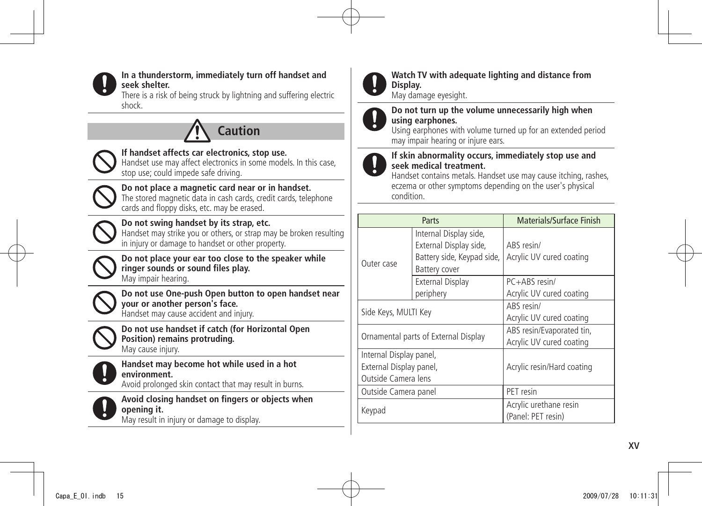

#### **In a thunderstorm, immediately turn off handset and seek shelter.**

There is a risk of being struck by lightning and suffering electric shock.





#### **If handset affects car electronics, stop use.**

Handset use may affect electronics in some models. In this case, stop use; could impede safe driving.



#### **Do not place a magnetic card near or in handset.** The stored magnetic data in cash cards, credit cards, telephone

cards and floppy disks, etc. may be erased.



### **Do not swing handset by its strap, etc.**

Handset may strike you or others, or strap may be broken resulting in injury or damage to handset or other property.



**Do not place your ear too close to the speaker while ringer sounds or sound files play.** May impair hearing.



**Do not use One-push Open button to open handset near your or another person's face.** Handset may cause accident and injury.



**Do not use handset if catch (for Horizontal Open Position) remains protruding.** May cause injury.



**Handset may become hot while used in a hot environment.** Avoid prolonged skin contact that may result in burns.



**Avoid closing handset on fingers or objects when opening it.** May result in injury or damage to display.



#### **Watch TV with adequate lighting and distance from Display.**

May damage eyesight.



#### **Do not turn up the volume unnecessarily high when using earphones.**

Using earphones with volume turned up for an extended period may impair hearing or injure ears.



#### **If skin abnormality occurs, immediately stop use and seek medical treatment.**

Handset contains metals. Handset use may cause itching, rashes, eczema or other symptoms depending on the user's physical condition.

| Parts                                |                            | Materials/Surface Finish   |
|--------------------------------------|----------------------------|----------------------------|
|                                      | Internal Display side,     |                            |
|                                      | External Display side,     | ARS resin/                 |
| Outer case                           | Battery side, Keypad side, | Acrylic UV cured coating   |
|                                      | Battery cover              |                            |
|                                      | <b>External Display</b>    | $PC+ABS$ resin/            |
|                                      | periphery                  | Acrylic UV cured coating   |
| Side Keys, MULTI Key                 |                            | ABS resin/                 |
|                                      |                            | Acrylic UV cured coating   |
| Ornamental parts of External Display |                            | ABS resin/Evaporated tin,  |
|                                      |                            | Acrylic UV cured coating   |
| Internal Display panel,              |                            |                            |
| External Display panel,              |                            | Acrylic resin/Hard coating |
| Outside Camera lens                  |                            |                            |
| Outside Camera panel                 |                            | PET resin                  |
| Keypad                               |                            | Acrylic urethane resin     |
|                                      |                            | (Panel: PET resin)         |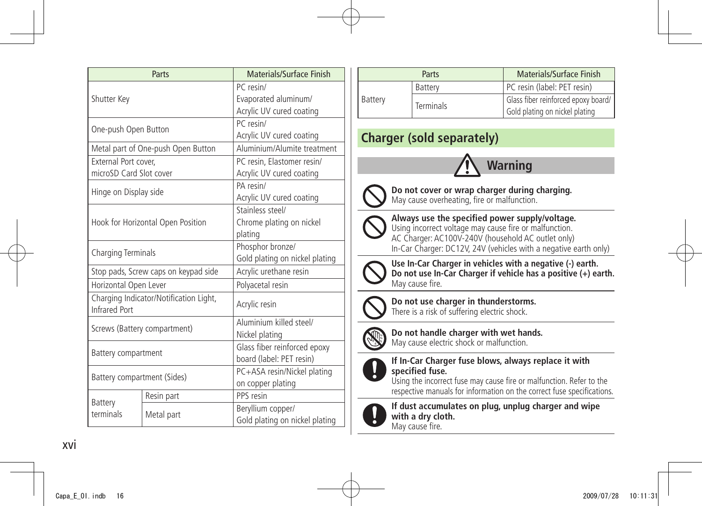| Parts                                                   |                                    | Materials/Surface Finish       |
|---------------------------------------------------------|------------------------------------|--------------------------------|
| Shutter Key                                             |                                    | PC resin/                      |
|                                                         |                                    | Evaporated aluminum/           |
|                                                         |                                    | Acrylic UV cured coating       |
| One-push Open Button                                    |                                    | PC resin/                      |
|                                                         |                                    | Acrylic UV cured coating       |
|                                                         | Metal part of One-push Open Button | Aluminium/Alumite treatment    |
| External Port cover.                                    |                                    | PC resin, Elastomer resin/     |
| microSD Card Slot cover                                 |                                    | Acrylic UV cured coating       |
| Hinge on Display side                                   |                                    | PA resin/                      |
|                                                         |                                    | Acrylic UV cured coating       |
|                                                         |                                    | Stainless steel/               |
|                                                         | Hook for Horizontal Open Position  | Chrome plating on nickel       |
|                                                         |                                    | plating                        |
| Charging Terminals                                      |                                    | Phosphor bronze/               |
|                                                         |                                    | Gold plating on nickel plating |
| Stop pads, Screw caps on keypad side                    |                                    | Acrylic urethane resin         |
| Horizontal Open Lever                                   |                                    | Polyacetal resin               |
| Charging Indicator/Notification Light,<br>Infrared Port |                                    | Acrylic resin                  |
|                                                         |                                    | Aluminium killed steel/        |
| Screws (Battery compartment)                            |                                    | Nickel plating                 |
|                                                         |                                    | Glass fiber reinforced epoxy   |
| Battery compartment                                     |                                    | board (label: PET resin)       |
| Battery compartment (Sides)                             |                                    | PC+ASA resin/Nickel plating    |
|                                                         |                                    | on copper plating              |
| Battery                                                 | Resin part                         | PPS resin                      |
| terminals                                               | Metal part                         | Beryllium copper/              |
|                                                         |                                    | Gold plating on nickel plating |

|         | Parts            | Materials/Surface Finish                                              |
|---------|------------------|-----------------------------------------------------------------------|
|         | Battery          | PC resin (label: PET resin)                                           |
| Battery | <b>Terminals</b> | Glass fiber reinforced epoxy board/<br>Gold plating on nickel plating |

### **Charger (sold separately)**





**Do not cover or wrap charger during charging.** May cause overheating, fire or malfunction.



**Always use the specified power supply/voltage.** Using incorrect voltage may cause fire or malfunction. AC Charger: AC100V-240V (household AC outlet only) In-Car Charger: DC12V, 24V (vehicles with a negative earth only)



**Use In-Car Charger in vehicles with a negative (-) earth. Do not use In-Car Charger if vehicle has a positive (+) earth.** May cause fire.



**Do not use charger in thunderstorms.** There is a risk of suffering electric shock.



**Do not handle charger with wet hands.** May cause electric shock or malfunction.



#### **If In-Car Charger fuse blows, always replace it with specified fuse.**

Using the incorrect fuse may cause fire or malfunction. Refer to the respective manuals for information on the correct fuse specifications.



**If dust accumulates on plug, unplug charger and wipe with a dry cloth.** May cause fire.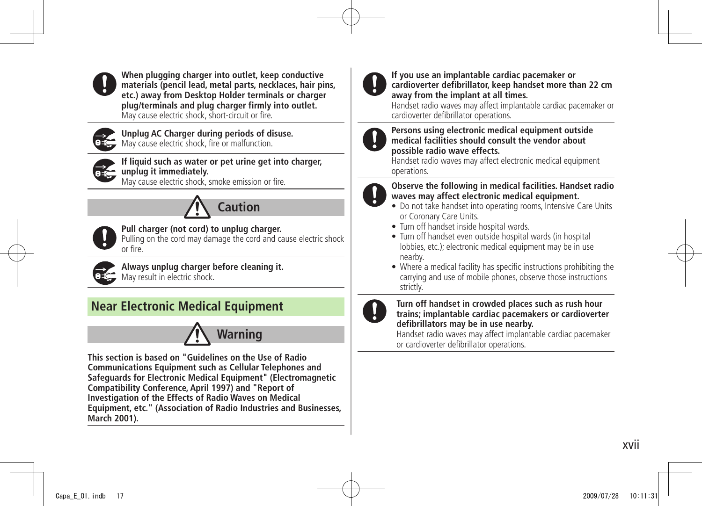

**When plugging charger into outlet, keep conductive materials (pencil lead, metal parts, necklaces, hair pins, etc.) away from Desktop Holder terminals or charger plug/terminals and plug charger firmly into outlet.** May cause electric shock, short-circuit or fire.



**Unplug AC Charger during periods of disuse.** May cause electric shock, fire or malfunction.



**If liquid such as water or pet urine get into charger, unplug it immediately.**

May cause electric shock, smoke emission or fire.





**Pull charger (not cord) to unplug charger.**

Pulling on the cord may damage the cord and cause electric shock or fire.



**Always unplug charger before cleaning it. OFS** May result in electric shock.

### **Near Electronic Medical Equipment**



**This section is based on "Guidelines on the Use of Radio Communications Equipment such as Cellular Telephones and Safeguards for Electronic Medical Equipment" (Electromagnetic Compatibility Conference, April 1997) and "Report of Investigation of the Effects of Radio Waves on Medical Equipment, etc." (Association of Radio Industries and Businesses, March 2001).**



#### **If you use an implantable cardiac pacemaker or cardioverter defibrillator, keep handset more than 22 cm away from the implant at all times.**

Handset radio waves may affect implantable cardiac pacemaker or cardioverter defibrillator operations.

#### **Persons using electronic medical equipment outside medical facilities should consult the vendor about possible radio wave effects.**

Handset radio waves may affect electronic medical equipment operations.



#### **Observe the following in medical facilities. Handset radio waves may affect electronic medical equipment.**

- Do not take handset into operating rooms, Intensive Care Units or Coronary Care Units.
- $\bullet$  Turn off handset inside hospital wards.
- Turn off handset even outside hospital wards (in hospital lobbies, etc.); electronic medical equipment may be in use nearby.
- Where a medical facility has specific instructions prohibiting the carrying and use of mobile phones, observe those instructions strictly.



#### **Turn off handset in crowded places such as rush hour trains; implantable cardiac pacemakers or cardioverter defibrillators may be in use nearby.**

Handset radio waves may affect implantable cardiac pacemaker or cardioverter defibrillator operations.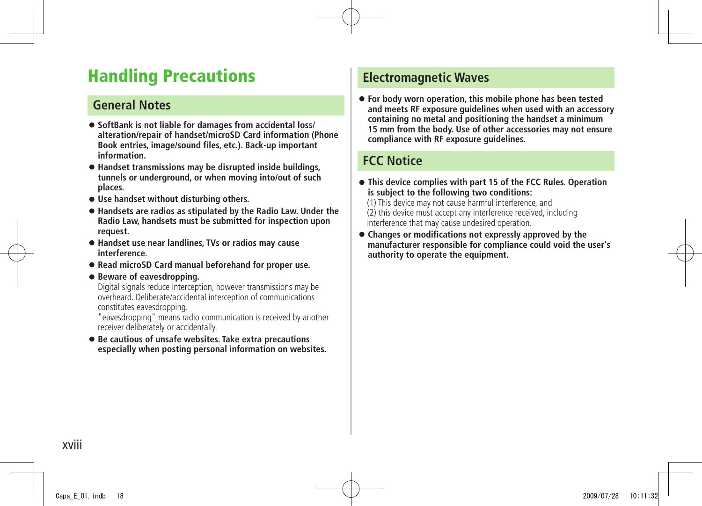## <span id="page-17-0"></span>**Handling Precautions**

#### **General Notes**

- **SoftBank is not liable for damages from accidental loss/ alteration/repair of handset/microSD Card information (Phone Book entries, image/sound files, etc.). Back-up important information.**
- **Handset transmissions may be disrupted inside buildings, tunnels or underground, or when moving into/out of such places.**
- **Use handset without disturbing others.**
- **Handsets are radios as stipulated by the Radio Law. Under the Radio Law, handsets must be submitted for inspection upon request.**
- **Handset use near landlines, TVs or radios may cause interference.**
- **Read microSD Card manual beforehand for proper use.**

#### ● **Beware of eavesdropping.**

Digital signals reduce interception, however transmissions may be overheard. Deliberate/accidental interception of communications constitutes eavesdropping.

"eavesdropping" means radio communication is received by another receiver deliberately or accidentally.

● **Be cautious of unsafe websites. Take extra precautions especially when posting personal information on websites.**

#### **Electromagnetic Waves**

● **For body worn operation, this mobile phone has been tested and meets RF exposure guidelines when used with an accessory containing no metal and positioning the handset a minimum 15 mm from the body. Use of other accessories may not ensure compliance with RF exposure guidelines.**

### **FCC Notice**

- **This device complies with part 15 of the FCC Rules. Operation is subject to the following two conditions:**
	- (1) This device may not cause harmful interference, and (2) this device must accept any interference received, including interference that may cause undesired operation.
- **Changes or modifications not expressly approved by the manufacturer responsible for compliance could void the user's authority to operate the equipment.**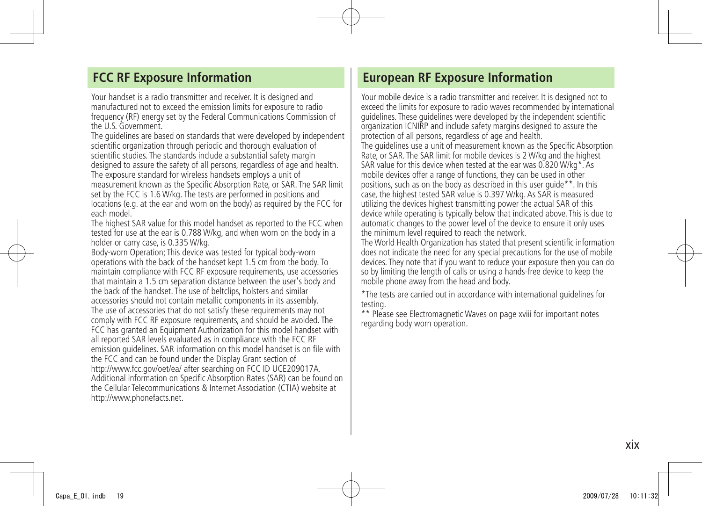#### **FCC RF Exposure Information**

Your handset is a radio transmitter and receiver. It is designed and manufactured not to exceed the emission limits for exposure to radio frequency (RF) energy set by the Federal Communications Commission of the U.S. Government.

The guidelines are based on standards that were developed by independent scientific organization through periodic and thorough evaluation of scientific studies. The standards include a substantial safety margin designed to assure the safety of all persons, regardless of age and health. The exposure standard for wireless handsets employs a unit of measurement known as the Specific Absorption Rate, or SAR. The SAR limit set by the FCC is 1.6 W/kg. The tests are performed in positions and locations (e.g. at the ear and worn on the body) as required by the FCC for each model.

The highest SAR value for this model handset as reported to the FCC when tested for use at the ear is 0.788 W/kg, and when worn on the body in a holder or carry case, is 0.335 W/kg.

Body-worn Operation; This device was tested for typical body-worn operations with the back of the handset kept 1.5 cm from the body. To maintain compliance with FCC RF exposure requirements, use accessories that maintain a 1.5 cm separation distance between the user's body and the back of the handset. The use of beltclips, holsters and similar accessories should not contain metallic components in its assembly. The use of accessories that do not satisfy these requirements may not comply with FCC RF exposure requirements, and should be avoided. The FCC has granted an Equipment Authorization for this model handset with all reported SAR levels evaluated as in compliance with the FCC RF emission guidelines. SAR information on this model handset is on file with the FCC and can be found under the Display Grant section of http://www.fcc.gov/oet/ea/ after searching on FCC ID UCE209017A. Additional information on Specific Absorption Rates (SAR) can be found on the Cellular Telecommunications & Internet Association (CTIA) website at http://www.phonefacts.net.

#### **European RF Exposure Information**

Your mobile device is a radio transmitter and receiver. It is designed not to exceed the limits for exposure to radio waves recommended by international guidelines. These guidelines were developed by the independent scientific organization ICNIRP and include safety margins designed to assure the protection of all persons, regardless of age and health. The guidelines use a unit of measurement known as the Specific Absorption Rate, or SAR. The SAR limit for mobile devices is 2 W/kg and the highest SAR value for this device when tested at the ear was 0.820 W/kg\*. As mobile devices offer a range of functions, they can be used in other positions, such as on the body as described in this user guide\*\*. In this case, the highest tested SAR value is 0.397 W/kg. As SAR is measured utilizing the devices highest transmitting power the actual SAR of this device while operating is typically below that indicated above. This is due to automatic changes to the power level of the device to ensure it only uses the minimum level required to reach the network.

The World Health Organization has stated that present scientific information does not indicate the need for any special precautions for the use of mobile devices. They note that if you want to reduce your exposure then you can do so by limiting the length of calls or using a hands-free device to keep the mobile phone away from the head and body.

\*The tests are carried out in accordance with international guidelines for testing.

\*\* Please see Electromagnetic Waves on page xviii for important notes regarding body worn operation.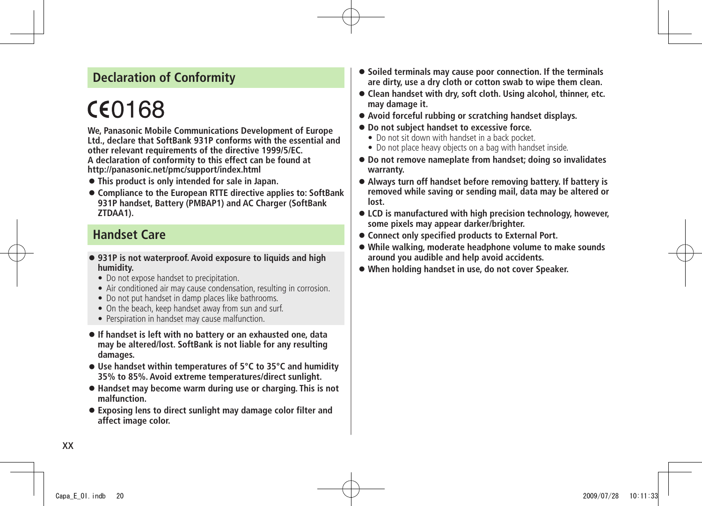### **Declaration of Conformity**

# CE0168

**We, Panasonic Mobile Communications Development of Europe Ltd., declare that SoftBank 931P conforms with the essential and other relevant requirements of the directive 1999/5/EC. A declaration of conformity to this effect can be found at http://panasonic.net/pmc/support/index.html**

- **This product is only intended for sale in Japan.**
- **Compliance to the European RTTE directive applies to: SoftBank 931P handset, Battery (PMBAP1) and AC Charger (SoftBank ZTDAA1).**

#### **Handset Care**

- **931P is not waterproof. Avoid exposure to liquids and high humidity.**
	- **•** Do not expose handset to precipitation.
	- **•** Air conditioned air may cause condensation, resulting in corrosion.
	- Do not put handset in damp places like bathrooms.
	- On the beach, keep handset away from sun and surf.
	- **•** Perspiration in handset may cause malfunction.
- **If handset is left with no battery or an exhausted one, data may be altered/lost. SoftBank is not liable for any resulting damages.**
- **Use handset within temperatures of 5°C to 35°C and humidity 35% to 85%. Avoid extreme temperatures/direct sunlight.**
- **Handset may become warm during use or charging. This is not malfunction.**
- **Exposing lens to direct sunlight may damage color filter and affect image color.**
- **Soiled terminals may cause poor connection. If the terminals are dirty, use a dry cloth or cotton swab to wipe them clean.**
- **Clean handset with dry, soft cloth. Using alcohol, thinner, etc. may damage it.**
- **Avoid forceful rubbing or scratching handset displays.**
- **Do not subject handset to excessive force.**
	- Do not sit down with handset in a back pocket.
	- **t** Do not place heavy objects on a bag with handset inside.
- **Do not remove nameplate from handset; doing so invalidates warranty.**
- **Always turn off handset before removing battery. If battery is removed while saving or sending mail, data may be altered or lost.**
- **LCD is manufactured with high precision technology, however, some pixels may appear darker/brighter.**
- **Connect only specified products to External Port.**
- **While walking, moderate headphone volume to make sounds around you audible and help avoid accidents.**
- **When holding handset in use, do not cover Speaker.**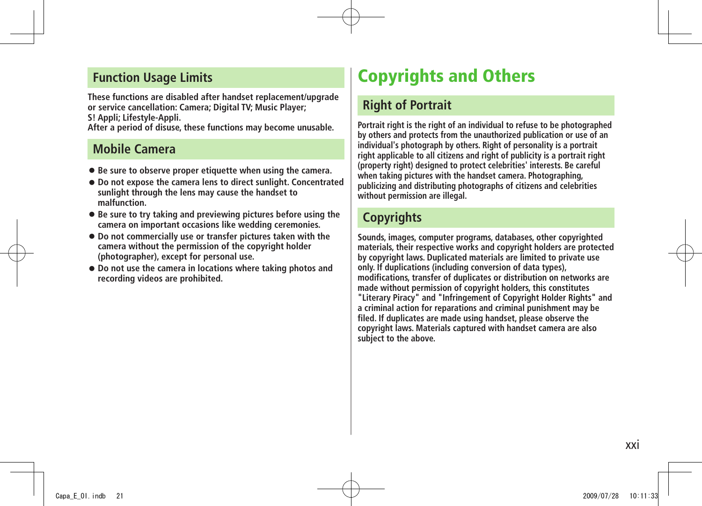#### <span id="page-20-0"></span>**Function Usage Limits**

**These functions are disabled after handset replacement/upgrade or service cancellation: Camera; Digital TV; Music Player; S! Appli; Lifestyle-Appli.**

**After a period of disuse, these functions may become unusable.**

### **Mobile Camera**

- **Be sure to observe proper etiquette when using the camera.**
- **Do not expose the camera lens to direct sunlight. Concentrated sunlight through the lens may cause the handset to malfunction.**
- **Be sure to try taking and previewing pictures before using the camera on important occasions like wedding ceremonies.**
- **Do not commercially use or transfer pictures taken with the camera without the permission of the copyright holder (photographer), except for personal use.**
- **Do not use the camera in locations where taking photos and recording videos are prohibited.**

## **Copyrights and Others**

### **Right of Portrait**

**Portrait right is the right of an individual to refuse to be photographed by others and protects from the unauthorized publication or use of an individual's photograph by others. Right of personality is a portrait right applicable to all citizens and right of publicity is a portrait right (property right) designed to protect celebrities' interests. Be careful when taking pictures with the handset camera. Photographing, publicizing and distributing photographs of citizens and celebrities without permission are illegal.**

### **Copyrights**

**Sounds, images, computer programs, databases, other copyrighted materials, their respective works and copyright holders are protected by copyright laws. Duplicated materials are limited to private use only. If duplications (including conversion of data types), modifications, transfer of duplicates or distribution on networks are made without permission of copyright holders, this constitutes "Literary Piracy" and "Infringement of Copyright Holder Rights" and a criminal action for reparations and criminal punishment may be filed. If duplicates are made using handset, please observe the copyright laws. Materials captured with handset camera are also subject to the above.**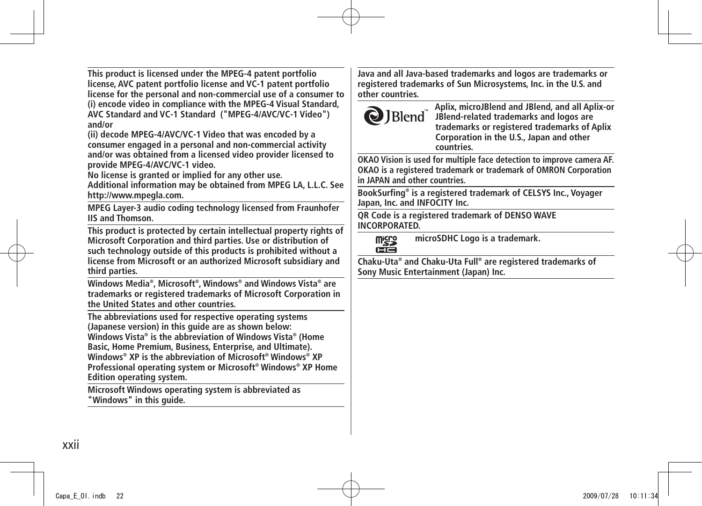**This product is licensed under the MPEG-4 patent portfolio license, AVC patent portfolio license and VC-1 patent portfolio license for the personal and non-commercial use of a consumer to (i) encode video in compliance with the MPEG-4 Visual Standard, AVC Standard and VC-1 Standard ("MPEG-4/AVC/VC-1 Video") and/or**

**(ii) decode MPEG-4/AVC/VC-1 Video that was encoded by a consumer engaged in a personal and non-commercial activity and/or was obtained from a licensed video provider licensed to provide MPEG-4/AVC/VC-1 video.**

**No license is granted or implied for any other use.** 

**Additional information may be obtained from MPEG LA, L.L.C. See http://www.mpegla.com.**

**MPEG Layer-3 audio coding technology licensed from Fraunhofer IIS and Thomson.**

**This product is protected by certain intellectual property rights of Microsoft Corporation and third parties. Use or distribution of such technology outside of this products is prohibited without a license from Microsoft or an authorized Microsoft subsidiary and third parties.**

**Windows Media® , Microsoft® , Windows® and Windows Vista® are trademarks or registered trademarks of Microsoft Corporation in the United States and other countries.**

**The abbreviations used for respective operating systems (Japanese version) in this guide are as shown below: Windows Vista® is the abbreviation of Windows Vista® (Home Basic, Home Premium, Business, Enterprise, and Ultimate). Windows® XP is the abbreviation of Microsoft® Windows® XP Professional operating system or Microsoft® Windows® XP Home Edition operating system.**

**Microsoft Windows operating system is abbreviated as "Windows" in this guide.**

**Java and all Java-based trademarks and logos are trademarks or registered trademarks of Sun Microsystems, Inc. in the U.S. and other countries.**



**Aplix, microJBlend and JBlend, and all Aplix-or JBlend-related trademarks and logos are trademarks or registered trademarks of Aplix Corporation in the U.S., Japan and other countries.**

**OKAO Vision is used for multiple face detection to improve camera AF. OKAO is a registered trademark or trademark of OMRON Corporation in JAPAN and other countries.**

**BookSurfing® is a registered trademark of CELSYS Inc., Voyager Japan, Inc. and INFOCITY Inc.**

**QR Code is a registered trademark of DENSO WAVE INCORPORATED.**

**microSDHC Logo is a trademark. Micico** ciá

**Chaku-Uta® and Chaku-Uta Full® are registered trademarks of Sony Music Entertainment (Japan) Inc.**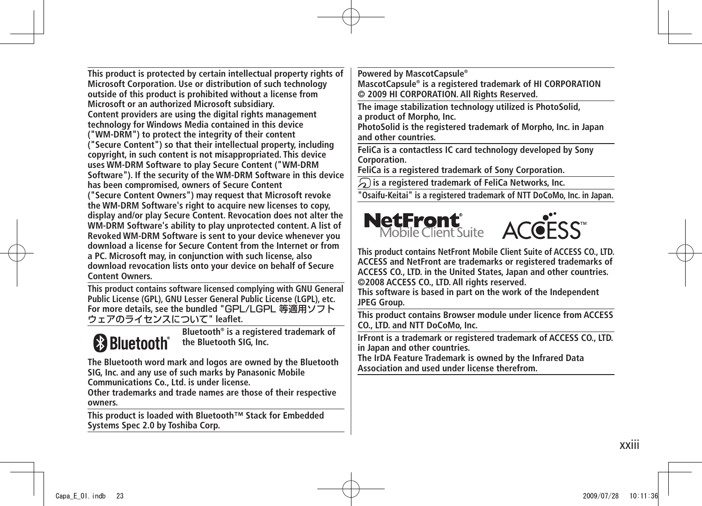**This product is protected by certain intellectual property rights of Microsoft Corporation. Use or distribution of such technology outside of this product is prohibited without a license from Microsoft or an authorized Microsoft subsidiary. Content providers are using the digital rights management technology for Windows Media contained in this device ("WM-DRM") to protect the integrity of their content ("Secure Content") so that their intellectual property, including copyright, in such content is not misappropriated. This device uses WM-DRM Software to play Secure Content ("WM-DRM Software"). If the security of the WM-DRM Software in this device has been compromised, owners of Secure Content ("Secure Content Owners") may request that Microsoft revoke the WM-DRM Software's right to acquire new licenses to copy, display and/or play Secure Content. Revocation does not alter the WM-DRM Software's ability to play unprotected content. A list of Revoked WM-DRM Software is sent to your device whenever you download a license for Secure Content from the Internet or from a PC. Microsoft may, in conjunction with such license, also download revocation lists onto your device on behalf of Secure Content Owners.**

**This product contains software licensed complying with GNU General Public License (GPL), GNU Lesser General Public License (LGPL), etc. For more details, see the bundled "**GPL/LGPL 等適用ソフト ウェアのライセンスについて**" leaflet.**



**Bluetooth® is a registered trademark of the Bluetooth SIG, Inc.**

**The Bluetooth word mark and logos are owned by the Bluetooth SIG, Inc. and any use of such marks by Panasonic Mobile Communications Co., Ltd. is under license.**

**Other trademarks and trade names are those of their respective owners.**

**This product is loaded with Bluetooth™ Stack for Embedded Systems Spec 2.0 by Toshiba Corp.**

**Powered by MascotCapsule®**

**MascotCapsule® is a registered trademark of HI CORPORATION © 2009 HI CORPORATION. All Rights Reserved.**

**The image stabilization technology utilized is PhotoSolid, a product of Morpho, Inc.**

**PhotoSolid is the registered trademark of Morpho, Inc. in Japan and other countries.**

**FeliCa is a contactless IC card technology developed by Sony Corporation.**

**FeliCa is a registered trademark of Sony Corporation.**

 **is a registered trademark of FeliCa Networks, Inc.**

**"Osaifu-Keitai" is a registered trademark of NTT DoCoMo, Inc. in Japan.**



**This product contains NetFront Mobile Client Suite of ACCESS CO., LTD. ACCESS and NetFront are trademarks or registered trademarks of ACCESS CO., LTD. in the United States, Japan and other countries. ©2008 ACCESS CO., LTD. All rights reserved.**

**This software is based in part on the work of the Independent JPEG Group.**

**This product contains Browser module under licence from ACCESS CO., LTD. and NTT DoCoMo, Inc.**

**IrFront is a trademark or registered trademark of ACCESS CO., LTD. in Japan and other countries.**

**The IrDA Feature Trademark is owned by the Infrared Data Association and used under license therefrom.**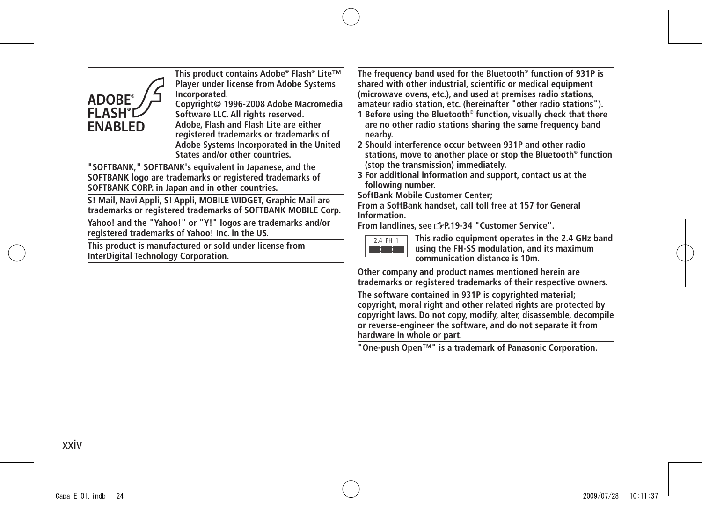| This product contains Adobe® Flash® Lite™<br><b>Player under license from Adobe Systems</b><br>Incorporated.<br><b>ADOBE®</b><br>Copyright© 1996-2008 Adobe Macromedia<br><b>FLASH</b> <sup>*</sup> I<br>Software LLC. All rights reserved.<br>Adobe, Flash and Flash Lite are either<br><b>ENABLED</b><br>registered trademarks or trademarks of<br>Adobe Systems Incorporated in the United<br>States and/or other countries. | The frequency band used for the Bluetooth <sup>®</sup> function of 931P is<br>shared with other industrial, scientific or medical equipment<br>(microwave ovens, etc.), and used at premises radio stations,<br>amateur radio station, etc. (hereinafter "other radio stations").<br>1 Before using the Bluetooth <sup>®</sup> function, visually check that there<br>are no other radio stations sharing the same frequency band<br>nearby.<br>2 Should interference occur between 931P and other radio<br>stations, move to another place or stop the Bluetooth <sup>®</sup> function |
|---------------------------------------------------------------------------------------------------------------------------------------------------------------------------------------------------------------------------------------------------------------------------------------------------------------------------------------------------------------------------------------------------------------------------------|-----------------------------------------------------------------------------------------------------------------------------------------------------------------------------------------------------------------------------------------------------------------------------------------------------------------------------------------------------------------------------------------------------------------------------------------------------------------------------------------------------------------------------------------------------------------------------------------|
| "SOFTBANK," SOFTBANK's equivalent in Japanese, and the<br>SOFTBANK logo are trademarks or registered trademarks of<br>SOFTBANK CORP. in Japan and in other countries.                                                                                                                                                                                                                                                           | (stop the transmission) immediately.<br>3 For additional information and support, contact us at the<br>following number.                                                                                                                                                                                                                                                                                                                                                                                                                                                                |
| S! Mail, Navi Appli, S! Appli, MOBILE WIDGET, Graphic Mail are<br>trademarks or registered trademarks of SOFTBANK MOBILE Corp.                                                                                                                                                                                                                                                                                                  | <b>SoftBank Mobile Customer Center;</b><br>From a SoftBank handset, call toll free at 157 for General<br>Information.<br>From landlines, see 3P.19-34 "Customer Service".                                                                                                                                                                                                                                                                                                                                                                                                               |
| Yahoo! and the "Yahoo!" or "Y!" logos are trademarks and/or<br>registered trademarks of Yahoo! Inc. in the US.                                                                                                                                                                                                                                                                                                                  |                                                                                                                                                                                                                                                                                                                                                                                                                                                                                                                                                                                         |
| This product is manufactured or sold under license from<br><b>InterDigital Technology Corporation.</b>                                                                                                                                                                                                                                                                                                                          | This radio equipment operates in the 2.4 GHz band<br>2.4 FH 1<br>using the FH-SS modulation, and its maximum<br>communication distance is 10m.                                                                                                                                                                                                                                                                                                                                                                                                                                          |
|                                                                                                                                                                                                                                                                                                                                                                                                                                 | Other company and product names mentioned herein are<br>trademarks or registered trademarks of their respective owners.                                                                                                                                                                                                                                                                                                                                                                                                                                                                 |
|                                                                                                                                                                                                                                                                                                                                                                                                                                 | The software contained in 931P is copyrighted material;<br>copyright, moral right and other related rights are protected by<br>copyright laws. Do not copy, modify, alter, disassemble, decompile<br>or reverse-engineer the software, and do not separate it from<br>hardware in whole or part.                                                                                                                                                                                                                                                                                        |
|                                                                                                                                                                                                                                                                                                                                                                                                                                 | "One-push Open™" is a trademark of Panasonic Corporation.                                                                                                                                                                                                                                                                                                                                                                                                                                                                                                                               |
|                                                                                                                                                                                                                                                                                                                                                                                                                                 |                                                                                                                                                                                                                                                                                                                                                                                                                                                                                                                                                                                         |
|                                                                                                                                                                                                                                                                                                                                                                                                                                 |                                                                                                                                                                                                                                                                                                                                                                                                                                                                                                                                                                                         |
|                                                                                                                                                                                                                                                                                                                                                                                                                                 |                                                                                                                                                                                                                                                                                                                                                                                                                                                                                                                                                                                         |